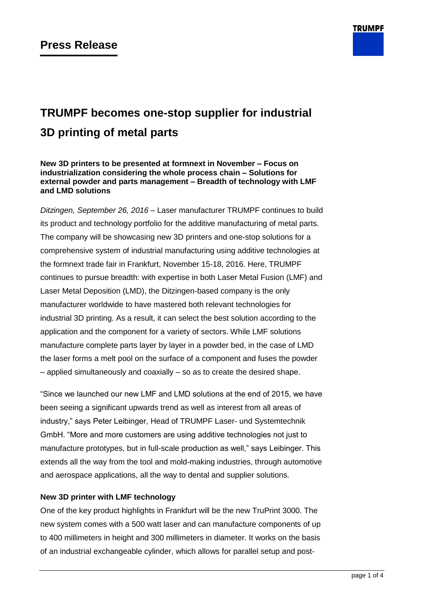

# **TRUMPF becomes one-stop supplier for industrial 3D printing of metal parts**

**New 3D printers to be presented at formnext in November – Focus on industrialization considering the whole process chain – Solutions for external powder and parts management – Breadth of technology with LMF and LMD solutions**

*Ditzingen, September 26, 2016* – Laser manufacturer TRUMPF continues to build its product and technology portfolio for the additive manufacturing of metal parts. The company will be showcasing new 3D printers and one-stop solutions for a comprehensive system of industrial manufacturing using additive technologies at the formnext trade fair in Frankfurt, November 15-18, 2016. Here, TRUMPF continues to pursue breadth: with expertise in both Laser Metal Fusion (LMF) and Laser Metal Deposition (LMD), the Ditzingen-based company is the only manufacturer worldwide to have mastered both relevant technologies for industrial 3D printing. As a result, it can select the best solution according to the application and the component for a variety of sectors. While LMF solutions manufacture complete parts layer by layer in a powder bed, in the case of LMD the laser forms a melt pool on the surface of a component and fuses the powder – applied simultaneously and coaxially – so as to create the desired shape.

"Since we launched our new LMF and LMD solutions at the end of 2015, we have been seeing a significant upwards trend as well as interest from all areas of industry," says Peter Leibinger, Head of TRUMPF Laser- und Systemtechnik GmbH. "More and more customers are using additive technologies not just to manufacture prototypes, but in full-scale production as well," says Leibinger. This extends all the way from the tool and mold-making industries, through automotive and aerospace applications, all the way to dental and supplier solutions.

## **New 3D printer with LMF technology**

One of the key product highlights in Frankfurt will be the new TruPrint 3000. The new system comes with a 500 watt laser and can manufacture components of up to 400 millimeters in height and 300 millimeters in diameter. It works on the basis of an industrial exchangeable cylinder, which allows for parallel setup and post-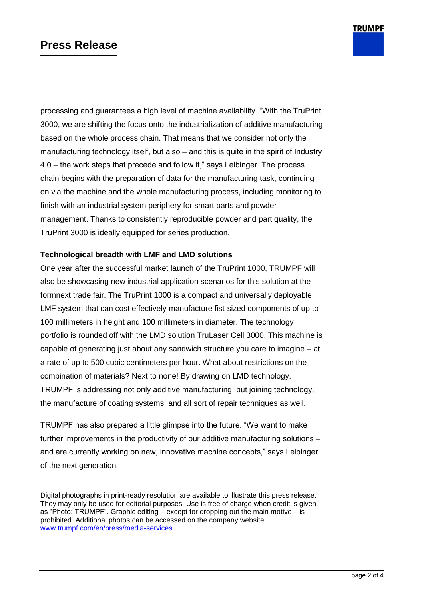## **Press Release**

processing and guarantees a high level of machine availability. "With the TruPrint 3000, we are shifting the focus onto the industrialization of additive manufacturing based on the whole process chain. That means that we consider not only the manufacturing technology itself, but also – and this is quite in the spirit of Industry 4.0 – the work steps that precede and follow it," says Leibinger. The process chain begins with the preparation of data for the manufacturing task, continuing on via the machine and the whole manufacturing process, including monitoring to finish with an industrial system periphery for smart parts and powder management. Thanks to consistently reproducible powder and part quality, the TruPrint 3000 is ideally equipped for series production.

## **Technological breadth with LMF and LMD solutions**

One year after the successful market launch of the TruPrint 1000, TRUMPF will also be showcasing new industrial application scenarios for this solution at the formnext trade fair. The TruPrint 1000 is a compact and universally deployable LMF system that can cost effectively manufacture fist-sized components of up to 100 millimeters in height and 100 millimeters in diameter. The technology portfolio is rounded off with the LMD solution TruLaser Cell 3000. This machine is capable of generating just about any sandwich structure you care to imagine – at a rate of up to 500 cubic centimeters per hour. What about restrictions on the combination of materials? Next to none! By drawing on LMD technology, TRUMPF is addressing not only additive manufacturing, but joining technology, the manufacture of coating systems, and all sort of repair techniques as well.

TRUMPF has also prepared a little glimpse into the future. "We want to make further improvements in the productivity of our additive manufacturing solutions – and are currently working on new, innovative machine concepts," says Leibinger of the next generation.

Digital photographs in print-ready resolution are available to illustrate this press release. They may only be used for editorial purposes. Use is free of charge when credit is given as "Photo: TRUMPF". Graphic editing – except for dropping out the main motive – is prohibited. Additional photos can be accessed on the company website: [www.trumpf.com/en/press/media-services](http://www.trumpf.com/en/press/media-services)

**TRUMPF**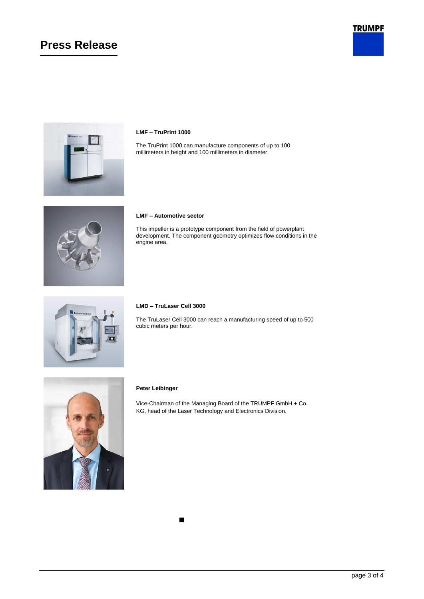## **Press Release**





## **LMF – TruPrint 1000**

The TruPrint 1000 can manufacture components of up to 100 millimeters in height and 100 millimeters in diameter.



#### **LMF – Automotive sector**

This impeller is a prototype component from the field of powerplant development. The component geometry optimizes flow conditions in the engine area.



#### **LMD – TruLaser Cell 3000**

The TruLaser Cell 3000 can reach a manufacturing speed of up to 500 cubic meters per hour.



#### **Peter Leibinger**

Vice-Chairman of the Managing Board of the TRUMPF GmbH + Co. KG, head of the Laser Technology and Electronics Division.